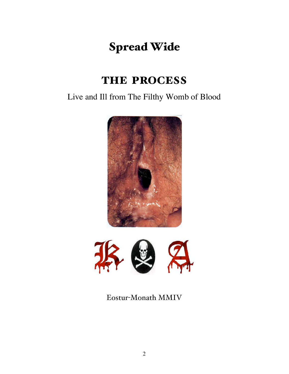# Spread Wide

# THE PROCESS

Live and Ill from The Filthy Womb of Blood





Eostur-Monath MMIV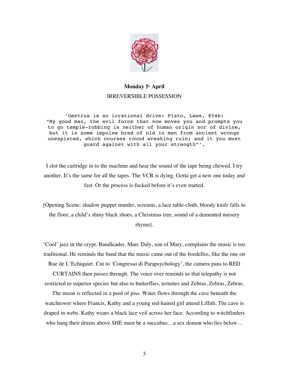

## **Monday 5<sup>th</sup> April** IRREVERSIBLE POSSESSION

'Oestrus is an irrational drive: Plato, Laws, 854b: "My good man, the evil force that now moves you and prompts you to go temple-robbing is neither of human origin nor of divine, but it is some impulse bred of old in men from ancient wrongs unexpiated, which courses round wreaking ruin; and it you must guard against with all your strength"'.

I slot the cartridge in to the machine and hear the sound of the tape being chewed. I try another. It's the same for all the tapes. The VCR is dying. Gotta get a new one today and fast. Or the process is fucked before it's even started.

[Opening Scene: shadow puppet murder, screams, a lace table-cloth, bloody knife falls to the floor, a child's shiny black shoes, a Christmas tree, sound of a demented nursery rhyme].

'Cool' jazz in the crypt. Bandleader, Marc Daly, son of Mary, complains the music is too traditional. He reminds the band that the music came out of the bordellos, like the one on

Rue de L'Echiquier. Cut to 'Congresso di Parapsychology', the camera pans to RED

CURTAINS then passes through. The voice over reminds us that telepathy is not restricted to superior species but also to butterflies, termites and Zebras, Zebras, Zebras.

The moon is reflected in a pool of piss. Water flows through the cave beneath the watchtower where Francis, Kathy and a young red-haired girl attend Lillith. The cave is draped in webs. Kathy wears a black lace veil across her face. According to witchfinders who bang their drums above SHE must be a succubus…a sex demon who lies below…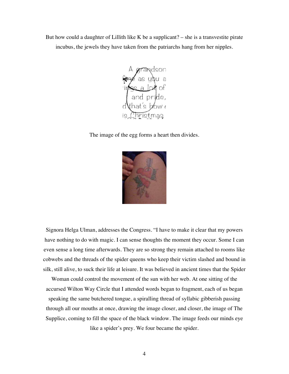But how could a daughter of Lillith like K be a supplicant?  $-$  she is a transvestite pirate incubus, the jewels they have taken from the patriarchs hang from her nipples.



The image of the egg forms a heart then divides.



Signora Helga Ulman, addresses the Congress. "I have to make it clear that my powers have nothing to do with magic. I can sense thoughts the moment they occur. Some I can even sense a long time afterwards. They are so strong they remain attached to rooms like cobwebs and the threads of the spider queens who keep their victim slashed and bound in silk, still alive, to suck their life at leisure. It was believed in ancient times that the Spider

Woman could control the movement of the sun with her web. At one sitting of the accursed Wilton Way Circle that I attended words began to fragment, each of us began speaking the same butchered tongue, a spiralling thread of syllabic gibberish passing through all our mouths at once, drawing the image closer, and closer, the image of The Supplice, coming to fill the space of the black window. The image feeds our minds eye like a spider's prey. We four became the spider.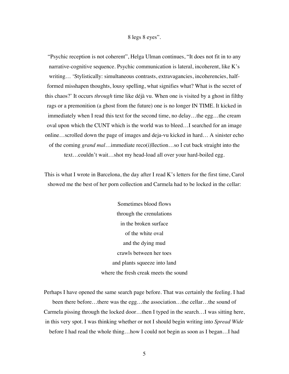#### 8 legs 8 eyes".

"Psychic reception is not coherent", Helga Ulman continues, "It does not fit in to any narrative-cognitive sequence. Psychic communication is lateral, incoherent, like K's writing… 'Stylistically: simultaneous contrasts, extravagancies, incoherencies, halfformed misshapen thoughts, lousy spelling, what signifies what? What is the secret of this chaos?' It occurs *through* time like déjà vu. When one is visited by a ghost in filthy rags or a premonition (a ghost from the future) one is no longer IN TIME. It kicked in immediately when I read this text for the second time, no delay…the egg…the cream oval upon which the CUNT which is the world was to bleed…I searched for an image online…scrolled down the page of images and deja-vu kicked in hard… A sinister echo of the coming *grand mal*…immediate reco(i)llection…so I cut back straight into the text…couldn't wait…shot my head-load all over your hard-boiled egg.

This is what I wrote in Barcelona, the day after I read K's letters for the first time, Carol showed me the best of her porn collection and Carmela had to be locked in the cellar:

> Sometimes blood flows through the crenulations in the broken surface of the white oval and the dying mud crawls between her toes and plants squeeze into land where the fresh creak meets the sound

Perhaps I have opened the same search page before. That was certainly the feeling. I had been there before…there was the egg…the association…the cellar…the sound of Carmela pissing through the locked door…then I typed in the search…I was sitting here, in this very spot. I was thinking whether or not I should begin writing into *Spread Wide* before I had read the whole thing…how I could not begin as soon as I began…I had

5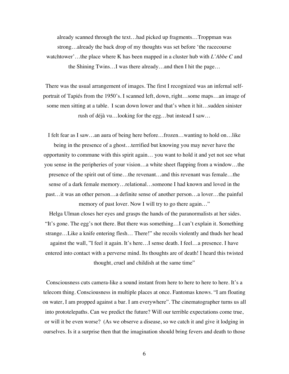already scanned through the text…had picked up fragments…Troppman was strong…already the back drop of my thoughts was set before 'the racecourse watchtower'…the place where K has been mapped in a cluster hub with *L'Abbe C* and the Shining Twins…I was there already…and then I hit the page…

There was the usual arrangement of images. The first I recognized was an infernal selfportrait of Tapiés from the 1950's. I scanned left, down, right…some maps…an image of some men sitting at a table. I scan down lower and that's when it hit…sudden sinister rush of déjà vu…looking for the egg…but instead I saw…

I felt fear as I saw…an aura of being here before…frozen…wanting to hold on…like being in the presence of a ghost…terrified but knowing you may never have the opportunity to commune with this spirit again… you want to hold it and yet not see what you sense in the peripheries of your vision…a white sheet flapping from a window…the presence of the spirit out of time…the revenant…and this revenant was female…the sense of a dark female memory…relational…someone I had known and loved in the past…it was an other person…a definite sense of another person…a lover…the painful memory of past lover. Now I will try to go there again..."

Helga Ulman closes her eyes and grasps the hands of the paranormalists at her sides. "It's gone. The egg's not there. But there was something…I can't explain it. Something strange…Like a knife entering flesh… There!" she recoils violently and thuds her head against the wall, "I feel it again. It's here…I sense death. I feel…a presence. I have entered into contact with a perverse mind. Its thoughts are of death! I heard this twisted thought, cruel and childish at the same time"

Consciousness cuts camera-like a sound instant from here to here to here to here. It's a telecom thing. Consciousness in multiple places at once. Fantomas knows. "I am floating on water, I am propped against a bar. I am everywhere". The cinematographer turns us all into prototelepaths. Can we predict the future? Will our terrible expectations come true, or will it be even worse? (As we observe a disease, so we catch it and give it lodging in ourselves. Is it a surprise then that the imagination should bring fevers and death to those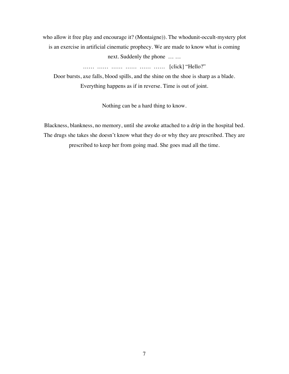who allow it free play and encourage it? (Montaigne)). The whodunit-occult-mystery plot is an exercise in artificial cinematic prophecy. We are made to know what is coming next. Suddenly the phone … …

…… …… …… …… …… …… [click] "Hello?"

Door bursts, axe falls, blood spills, and the shine on the shoe is sharp as a blade. Everything happens as if in reverse. Time is out of joint.

Nothing can be a hard thing to know.

Blackness, blankness, no memory, until she awoke attached to a drip in the hospital bed. The drugs she takes she doesn't know what they do or why they are prescribed. They are prescribed to keep her from going mad. She goes mad all the time.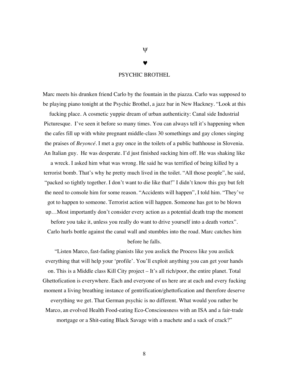#### PSYCHIC BROTHEL

Marc meets his drunken friend Carlo by the fountain in the piazza. Carlo was supposed to be playing piano tonight at the Psychic Brothel, a jazz bar in New Hackney. "Look at this

fucking place. A cosmetic yuppie dream of urban authenticity: Canal side Industrial Picturesque. I've seen it before so many times. You can always tell it's happening when the cafes fill up with white pregnant middle-class 30 somethings and gay clones singing the praises of *Beyoncé.* I met a guy once in the toilets of a public bathhouse in Slovenia. An Italian guy. He was desperate. I'd just finished sucking him off. He was shaking like

a wreck. I asked him what was wrong. He said he was terrified of being killed by a terrorist bomb. That's why he pretty much lived in the toilet. "All those people", he said, "packed so tightly together. I don't want to die like that!" I didn't know this guy but felt the need to console him for some reason. "Accidents will happen", I told him. "They've got to happen to someone. Terrorist action will happen. Someone has got to be blown up…Most importantly don't consider every action as a potential death trap the moment before you take it, unless you really do want to drive yourself into a death vortex". Carlo hurls bottle against the canal wall and stumbles into the road. Marc catches him before he falls.

"Listen Marco, fast-fading pianists like you asslick the Process like you asslick everything that will help your 'profile'. You'll exploit anything you can get your hands on. This is a Middle class Kill City project – It's all rich/poor, the entire planet. Total Ghettofication is everywhere. Each and everyone of us here are at each and every fucking moment a living breathing instance of gentrification/ghettofication and therefore deserve everything we get. That German psychic is no different. What would you rather be Marco, an evolved Health Food-eating Eco-Consciousness with an ISA and a fair-trade mortgage or a Shit-eating Black Savage with a machete and a sack of crack?"

 $\mathbf{U}$ 

©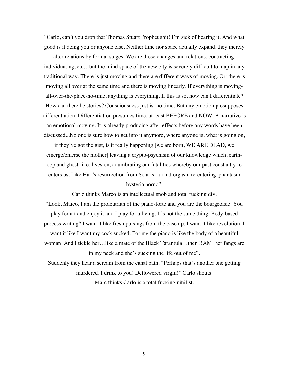"Carlo, can't you drop that Thomas Stuart Prophet shit! I'm sick of hearing it. And what good is it doing you or anyone else. Neither time nor space actually expand, they merely

alter relations by formal stages. We are those changes and relations, contracting, individuating, etc…but the mind space of the new city is severely difficult to map in any traditional way. There is just moving and there are different ways of moving. Or: there is moving all over at the same time and there is moving linearly. If everything is movingall-over-the-place-no-time, anything is everything. If this is so, how can I differentiate? How can there be stories? Consciousness just is: no time. But any emotion presupposes differentiation. Differentiation presumes time, at least BEFORE and NOW. A narrative is an emotional moving. It is already producing after-effects before any words have been discussed...No one is sure how to get into it anymore, where anyone is, what is going on,

if they've got the gist, is it really happening [we are born, WE ARE DEAD, we emerge/emerse the mother] leaving a crypto-psychism of our knowledge which, earthloop and ghost-like, lives on, adumbrating our fatalities whereby our past constantly reenters us. Like Hari's resurrection from Solaris- a kind orgasm re-entering, phantasm hysteria porno".

Carlo thinks Marco is an intellectual snob and total fucking div. "Look, Marco, I am the proletarian of the piano-forte and you are the bourgeoisie. You play for art and enjoy it and I play for a living. It's not the same thing. Body-based process writing? I want it like fresh pulsings from the base up. I want it like revolution. I want it like I want my cock sucked. For me the piano is like the body of a beautiful woman. And I tickle her…like a mate of the Black Tarantula…then BAM! her fangs are in my neck and she's sucking the life out of me".

Suddenly they hear a scream from the canal path. "Perhaps that's another one getting murdered. I drink to you! Deflowered virgin!" Carlo shouts. Marc thinks Carlo is a total fucking nihilist.

9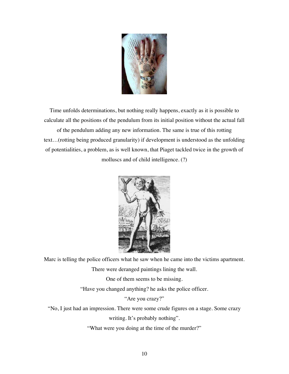

Time unfolds determinations, but nothing really happens, exactly as it is possible to calculate all the positions of the pendulum from its initial position without the actual fall of the pendulum adding any new information. The same is true of this rotting text…(rotting being produced granularity) if development is understood as the unfolding of potentialities, a problem, as is well known, that Piaget tackled twice in the growth of molluscs and of child intelligence. (?)



Marc is telling the police officers what he saw when he came into the victims apartment. There were deranged paintings lining the wall.

One of them seems to be missing.

"Have you changed anything? he asks the police officer.

"Are you crazy?"

"No, I just had an impression. There were some crude figures on a stage. Some crazy

writing. It's probably nothing".

"What were you doing at the time of the murder?"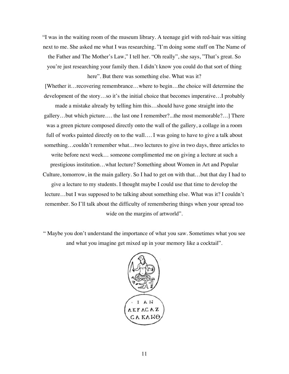"I was in the waiting room of the museum library. A teenage girl with red-hair was sitting next to me. She asked me what I was researching. "I'm doing some stuff on The Name of the Father and The Mother's Law," I tell her. "Oh really", she says, "That's great. So you're just researching your family then. I didn't know you could do that sort of thing here". But there was something else. What was it?

[Whether it…recovering remembrance…where to begin…the choice will determine the development of the story…so it's the initial choice that becomes imperative…I probably made a mistake already by telling him this…should have gone straight into the gallery…but which picture…. the last one I remember?...the most memorable?…] There was a green picture composed directly onto the wall of the gallery, a collage in a room full of works painted directly on to the wall.... I was going to have to give a talk about something…couldn't remember what…two lectures to give in two days, three articles to write before next week… someone complimented me on giving a lecture at such a prestigious institution…what lecture? Something about Women in Art and Popular Culture, tomorrow, in the main gallery. So I had to get on with that…but that day I had to give a lecture to my students. I thought maybe I could use that time to develop the lecture…but I was supposed to be talking about something else. What was it? I couldn't remember. So I'll talk about the difficulty of remembering things when your spread too wide on the margins of artworld".

" Maybe you don't understand the importance of what you saw. Sometimes what you see and what you imagine get mixed up in your memory like a cocktail".

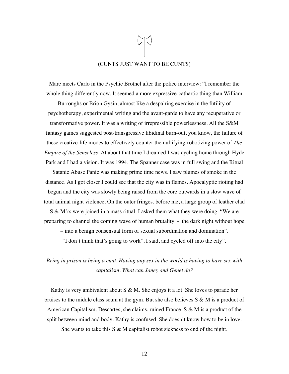# (CUNTS JUST WANT TO BE CUNTS)

Marc meets Carlo in the Psychic Brothel after the police interview: "I remember the whole thing differently now. It seemed a more expressive-cathartic thing than William

Burroughs or Brion Gysin, almost like a despairing exercise in the futility of psychotherapy, experimental writing and the avant-garde to have any recuperative or transformative power. It was a writing of irrepressible powerlessness. All the S&M fantasy games suggested post-transgressive libidinal burn-out, you know, the failure of these creative-life modes to effectively counter the nullifying-robotizing power of *The Empire of the Senseless*. At about that time I dreamed I was cycling home through Hyde Park and I had a vision. It was 1994. The Spanner case was in full swing and the Ritual

Satanic Abuse Panic was making prime time news. I saw plumes of smoke in the distance. As I got closer I could see that the city was in flames. Apocalyptic rioting had begun and the city was slowly being raised from the core outwards in a slow wave of total animal night violence. On the outer fringes, before me, a large group of leather clad

S & M'rs were joined in a mass ritual. I asked them what they were doing. "We are preparing to channel the coming wave of human brutality - the dark night without hope

– into a benign consensual form of sexual subordination and domination".

"I don't think that's going to work", I said, and cycled off into the city".

## *Being in prison is being a cunt. Having any sex in the world is having to have sex with capitalism. What can Janey and Genet do?*

Kathy is very ambivalent about S & M. She enjoys it a lot. She loves to parade her bruises to the middle class scum at the gym. But she also believes  $S \& M$  is a product of American Capitalism. Descartes, she claims, ruined France. S & M is a product of the split between mind and body. Kathy is confused. She doesn't know how to be in love. She wants to take this  $S \& M$  capitalist robot sickness to end of the night.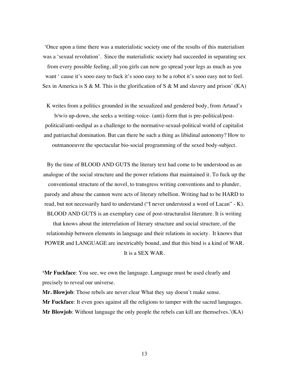'Once upon a time there was a materialistic society one of the results of this materialism was a 'sexual revolution'. Since the materialistic society had succeeded in separating sex from every possible feeling, all you girls can now go spread your legs as much as you want ' cause it's sooo easy to fuck it's sooo easy to be a robot it's sooo easy not to feel. Sex in America is S & M. This is the glorification of S & M and slavery and prison' (KA)

K writes from a politics grounded in the sexualized and gendered body, from Artaud's b/w/o up-down, she seeks a writing-voice- (anti)-form that is pre-political/postpolitical/anti-oedipal as a challenge to the normative-sexual-political world of capitalist and patriarchal domination. But can there be such a thing as libidinal autonomy? How to outmanoeuvre the spectacular bio-social programming of the sexed body-subject.

By the time of BLOOD AND GUTS the literary text had come to be understood as an analogue of the social structure and the power relations that maintained it. To fuck up the conventional structure of the novel, to transgress writing conventions and to plunder, parody and abuse the cannon were acts of literary rebellion. Writing had to be HARD to read, but not necessarily hard to understand ("I never understood a word of Lacan" - K). BLOOD AND GUTS is an exemplary case of post-structuralist literature. It is writing

that knows about the interrelation of literary structure and social structure, of the relationship between elements in language and their relations in society. It knows that POWER and LANGUAGE are inextricably bound, and that this bind is a kind of WAR.

It is a SEX WAR.

**'Mr Fuckface**: You see, we own the language. Language must be used clearly and precisely to reveal our universe.

**Mr. Blowjob**: Those rebels are never clear What they say doesn't make sense. **Mr Fuckface**: It even goes against all the religions to tamper with the sacred languages. **Mr Blowjob**: Without language the only people the rebels can kill are themselves.'(KA)

13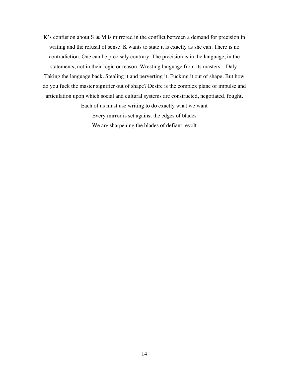K's confusion about  $S \& M$  is mirrored in the conflict between a demand for precision in writing and the refusal of sense. K wants to state it is exactly as she can. There is no contradiction. One can be precisely contrary. The precision is in the language, in the statements, not in their logic or reason. Wresting language from its masters – Daly. Taking the language back. Stealing it and perverting it. Fucking it out of shape. But how do you fuck the master signifier out of shape? Desire is the complex plane of impulse and articulation upon which social and cultural systems are constructed, negotiated, fought.

> Each of us must use writing to do exactly what we want Every mirror is set against the edges of blades We are sharpening the blades of defiant revolt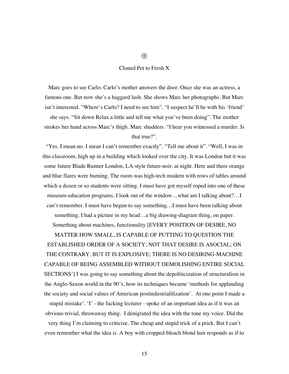#### Cloned Pet to Fresh X

Marc goes to see Carlo. Carlo's mother answers the door. Once she was an actress, a famous one. But now she's a haggard lush. She shows Marc her photographs. But Marc isn't interested. "Where's Carlo? I need to see him". "I suspect he'll be with his 'friend' she says. "Sit down Relax a little and tell me what you've been doing". The mother strokes her hand across Marc's thigh. Marc shudders. "I hear you witnessed a murder. Is that true?".

"Yes. I mean no. I mean I can't remember exactly". "Tell me about it". "Well, I was in this classroom, high up in a building which looked over the city. It was London but it was some future Blade Runner London, LA-style future-noir, at night. Here and there orange and blue flares were burning. The room was high-tech modern with rows of tables around which a dozen or so students were sitting. I must have got myself roped into one of these museum-education programs. I look out of the window…what am I talking about?…I can't remember. I must have begun to say something…I must have been talking about something. I had a picture in my head…a big drawing-diagram thing, on paper.

Something about machines, functionality [EVERY POSITION OF DESIRE, NO

MATTER HOW SMALL, IS CAPABLE OF PUTTING TO QUESTION THE ESTABLISHED ORDER OF A SOCIETY; NOT THAT DESIRE IS ASOCIAL; ON THE CONTRARY. BUT IT IS EXPLOSIVE; THERE IS NO DESIRING-MACHINE CAPABLE OF BEING ASSEMBLED WITHOUT DEMOLISHING ENTIRE SOCIAL SECTIONS'] I was going to say something about the depoliticization of structuralism in the Anglo-Saxon world in the 90's, how its techniques became 'methods for applauding the society and social values of American postindustrialilization'. At one point I made a

stupid mistake'. 'I' - the fucking lecturer - spoke of an important idea as if it was an obvious-trivial, throwaway thing. I denigrated the idea with the tone my voice. Did the very thing I'm claiming to criticize. The cheap and stupid trick of a prick. But I can't even remember what the idea is. A boy with cropped-bleach blond hair responds as if to

 $\bigoplus$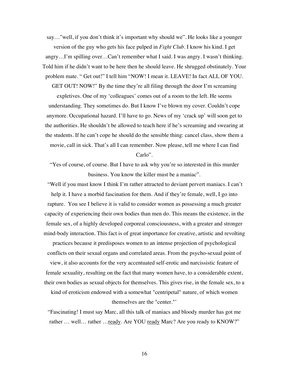say…"well, if you don't think it's important why should we". He looks like a younger version of the guy who gets his face pulped in *Fight Club*. I know his kind. I get angry…I'm spilling over…Can't remember what I said. I was angry. I wasn't thinking. Told him if he didn't want to be here then he should leave. He shrugged obstinately. Your problem mate. " Get out!" I tell him "NOW! I mean it. LEAVE! In fact ALL OF YOU.

GET OUT! NOW!" By the time they're all filing through the door I'm screaming expletives. One of my 'colleagues' comes out of a room to the left. He seems understanding. They sometimes do. But I know I've blown my cover. Couldn't cope anymore. Occupational hazard. I'll have to go. News of my 'crack up' will soon get to the authorities. He shouldn't be allowed to teach here if he's screaming and swearing at the students. If he can't cope he should do the sensible thing: cancel class, show them a movie, call in sick. That's all I can remember. Now please, tell me where I can find

#### Carlo".

"Yes of course, of course. But I have to ask why you're so interested in this murder business. You know the killer must be a maniac".

"Well if you must know I think I'm rather attracted to deviant pervert maniacs. I can't help it. I have a morbid fascination for them. And if they're female, well, I go into rapture. You see I believe it is valid to consider women as possessing a much greater capacity of experiencing their own bodies than men do. This means the existence, in the female sex, of a highly developed corporeal consciousness, with a greater and stronger mind-body interaction. This fact is of great importance for creative, artistic and revolting

practices because it predisposes women to an intense projection of psychological conflicts on their sexual organs and correlated areas. From the psycho-sexual point of view, it also accounts for the very accentuated self-erotic and narcissistic feature of female sexuality, resulting on the fact that many women have, to a considerable extent, their own bodies as sexual objects for themselves. This gives rise, in the female sex, to a

kind of eroticism endowed with a somewhat "centripetal" nature, of which women themselves are the "center."'

"Fascinating! I must say Marc, all this talk of maniacs and bloody murder has got me rather ... well... rather ... ready. Are YOU ready Marc? Are you ready to KNOW?"

16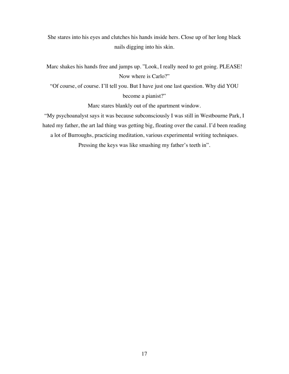She stares into his eyes and clutches his hands inside hers. Close up of her long black nails digging into his skin.

Marc shakes his hands free and jumps up. "Look, I really need to get going. PLEASE! Now where is Carlo?"

"Of course, of course. I'll tell you. But I have just one last question. Why did YOU become a pianist?"

Marc stares blankly out of the apartment window.

"My psychoanalyst says it was because subconsciously I was still in Westbourne Park, I hated my father, the art lad thing was getting big, floating over the canal. I'd been reading a lot of Burroughs, practicing meditation, various experimental writing techniques.

Pressing the keys was like smashing my father's teeth in".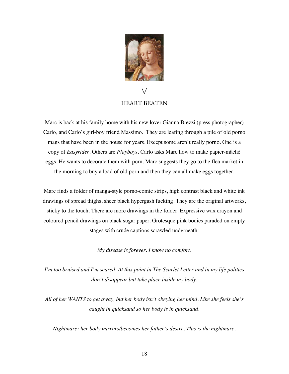

# $\forall$ HEART BEATEN

Marc is back at his family home with his new lover Gianna Brezzi (press photographer) Carlo, and Carlo's girl-boy friend Massimo. They are leafing through a pile of old porno mags that have been in the house for years. Except some aren't really porno. One is a copy of *Easyrider*. Others are *Playboy*s. Carlo asks Marc how to make papier-mâché eggs. He wants to decorate them with porn. Marc suggests they go to the flea market in the morning to buy a load of old porn and then they can all make eggs together.

Marc finds a folder of manga-style porno-comic strips, high contrast black and white ink drawings of spread thighs, sheer black hypergash fucking. They are the original artworks, sticky to the touch. There are more drawings in the folder. Expressive wax crayon and coloured pencil drawings on black sugar paper. Grotesque pink bodies paraded on empty stages with crude captions scrawled underneath:

*My disease is forever. I know no comfort.*

*I'm too bruised and I'm scared. At this point in The Scarlet Letter and in my life politics don't disappear but take place inside my body.*

*All of her WANTS to get away, but her body isn't obeying her mind. Like she feels she's caught in quicksand so her body is in quicksand.*

*Nightmare: her body mirrors/becomes her father's desire. This is the nightmare*.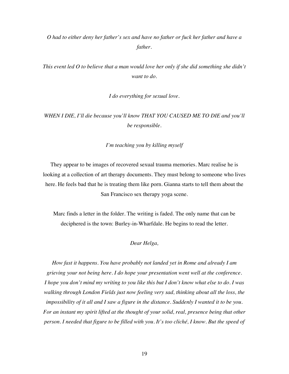*O had to either deny her father's sex and have no father or fuck her father and have a father.*

*This event led O to believe that a man would love her only if she did something she didn't want to do.*

*I do everything for sexual love.*

*WHEN I DIE, I'll die because you'll know THAT YOU CAUSED ME TO DIE and you'll be responsible.*

*I'm teaching you by killing myself*

They appear to be images of recovered sexual trauma memories. Marc realise he is looking at a collection of art therapy documents. They must belong to someone who lives here. He feels bad that he is treating them like porn. Gianna starts to tell them about the San Francisco sex therapy yoga scene.

Marc finds a letter in the folder. The writing is faded. The only name that can be deciphered is the town: Burley-in-Wharfdale. He begins to read the letter.

*Dear Helga,*

*How fast it happens. You have probably not landed yet in Rome and already I am grieving your not being here. I do hope your presentation went well at the conference. I hope you don't mind my writing to you like this but I don't know what else to do. I was walking through London Fields just now feeling very sad, thinking about all the loss, the impossibility of it all and I saw a figure in the distance. Suddenly I wanted it to be you. For an instant my spirit lifted at the thought of your solid, real, presence being that other person. I needed that figure to be filled with you. It's too cliché, I know. But the speed of*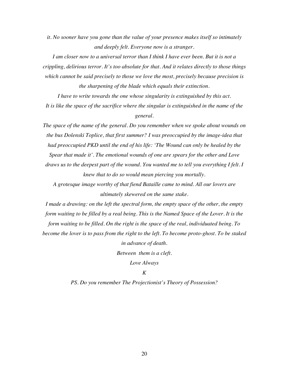*it. No sooner have you gone than the value of your presence makes itself so intimately and deeply felt. Everyone now is a stranger.*

*I am closer now to a universal terror than I think I have ever been. But it is not a crippling, delirious terror. It's too absolute for that. And it relates directly to those things which cannot be said precisely to those we love the most, precisely because precision is the sharpening of the blade which equals their extinction.*

*I have to write towards the one whose singularity is extinguished by this act. It is like the space of the sacrifice where the singular is extinguished in the name of the general.*

*The space of the name of the general. Do you remember when we spoke about wounds on the bus Dolenski Toplice, that first summer? I was preoccupied by the image-idea that had preoccupied PKD until the end of his life: 'The Wound can only be healed by the Spear that made it'. The emotional wounds of one are spears for the other and Love* 

*draws us to the deepest part of the wound. You wanted me to tell you everything I felt. I knew that to do so would mean piercing you mortally.*

*A grotesque image worthy of that fiend Bataille came to mind. All our lovers are ultimately skewered on the same stake.*

*I made a drawing: on the left the spectral form, the empty space of the other, the empty form waiting to be filled by a real being. This is the Named Space of the Lover. It is the* 

*form waiting to be filled. On the right is the space of the real, individuated being. To become the lover is to pass from the right to the left. To become proto-ghost. To be staked in advance of death.*

*Between them is a cleft.*

*Love Always*

*K*

*PS. Do you remember The Projectionist's Theory of Possession?*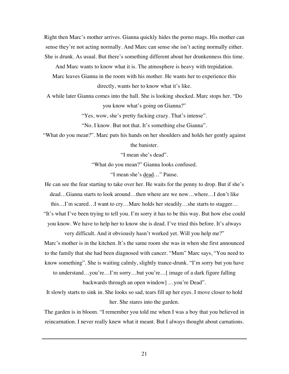Right then Marc's mother arrives. Gianna quickly hides the porno mags. His mother can sense they're not acting normally. And Marc can sense she isn't acting normally either. She is drunk. As usual. But there's something different about her drunkenness this time.

And Marc wants to know what it is. The atmosphere is heavy with trepidation.

Marc leaves Gianna in the room with his mother. He wants her to experience this directly, wants her to know what it's like.

A while later Gianna comes into the hall. She is looking shocked. Marc stops her. "Do you know what's going on Gianna?"

"Yes, wow, she's pretty fucking crazy. That's intense".

"No. I know. But not that. It's something else Gianna".

"What do you mean?". Marc puts his hands on her shoulders and holds her gently against the banister.

"I mean she's dead".

"What do you mean?" Gianna looks confused.

"I mean she's dead…" Pause.

He can see the fear starting to take over her. He waits for the penny to drop. But if she's dead…Gianna starts to look around…then where are we now…where…I don't like this…I'm scared…I want to cry…Marc holds her steadily…she starts to stagger…

"It's what I've been trying to tell you. I'm sorry it has to be this way. But how else could you know. We have to help her to know she is dead. I've tried this before. It's always

very difficult. And it obviously hasn't worked yet. Will you help me?"

Marc's mother is in the kitchen. It's the same room she was in when she first announced

to the family that she had been diagnosed with cancer. "Mum" Marc says, "You need to

know something". She is waiting calmly, slightly trance-drunk. "I'm sorry but you have

to understand…you're…I'm sorry…but you're…[ image of a dark figure falling backwards through an open window] …you're Dead".

It slowly starts to sink in. She looks so sad, tears fill up her eyes. I move closer to hold her. She stares into the garden.

The garden is in bloom. "I remember you told me when I was a boy that you believed in reincarnation. I never really knew what it meant. But I always thought about carnations.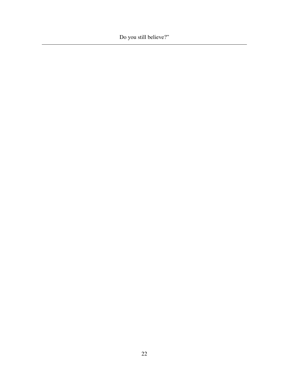Do you still believe?"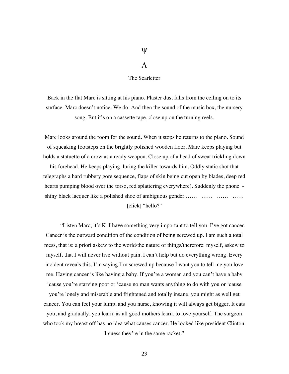## $\Psi$

#### $\Lambda$

The Scarletter

Back in the flat Marc is sitting at his piano. Plaster dust falls from the ceiling on to its surface. Marc doesn't notice. We do. And then the sound of the music box, the nursery song. But it's on a cassette tape, close up on the turning reels.

Marc looks around the room for the sound. When it stops he returns to the piano. Sound of squeaking footsteps on the brightly polished wooden floor. Marc keeps playing but holds a statuette of a crow as a ready weapon. Close up of a bead of sweat trickling down his forehead. He keeps playing, luring the killer towards him. Oddly static shot that telegraphs a hard rubbery gore sequence, flaps of skin being cut open by blades, deep red hearts pumping blood over the torso, red splattering everywhere). Suddenly the phone shiny black lacquer like a polished shoe of ambiguous gender …… …… …… …… [click] "hello?"

"Listen Marc, it's K. I have something very important to tell you. I've got cancer. Cancer is the outward condition of the condition of being screwed up. I am such a total mess, that is: a priori askew to the world/the nature of things/therefore: myself, askew to myself, that I will never live without pain. I can't help but do everything wrong. Every incident reveals this. I'm saying I'm screwed up because I want you to tell me you love me. Having cancer is like having a baby. If you're a woman and you can't have a baby 'cause you're starving poor or 'cause no man wants anything to do with you or 'cause

you're lonely and miserable and frightened and totally insane, you might as well get cancer. You can feel your lump, and you nurse, knowing it will always get bigger. It eats you, and gradually, you learn, as all good mothers learn, to love yourself. The surgeon who took my breast off has no idea what causes cancer. He looked like president Clinton. I guess they're in the same racket."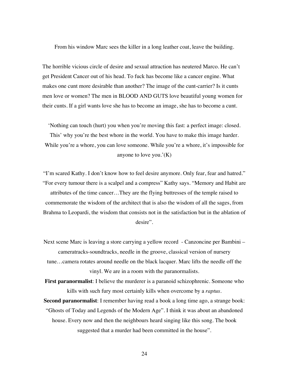From his window Marc sees the killer in a long leather coat, leave the building.

The horrible vicious circle of desire and sexual attraction has neutered Marco. He can't get President Cancer out of his head. To fuck has become like a cancer engine. What makes one cunt more desirable than another? The image of the cunt-carrier? Is it cunts men love or women? The men in BLOOD AND GUTS love beautiful young women for their cunts. If a girl wants love she has to become an image, she has to become a cunt.

'Nothing can touch (hurt) you when you're moving this fast: a perfect image: closed. This' why you're the best whore in the world. You have to make this image harder. While you're a whore, you can love someone. While you're a whore, it's impossible for anyone to love you.' $(K)$ 

"I'm scared Kathy. I don't know how to feel desire anymore. Only fear, fear and hatred." "For every tumour there is a scalpel and a compress" Kathy says. "Memory and Habit are attributes of the time cancer…They are the flying buttresses of the temple raised to commemorate the wisdom of the architect that is also the wisdom of all the sages, from Brahma to Leopardi, the wisdom that consists not in the satisfaction but in the ablation of desire".

Next scene Marc is leaving a store carrying a yellow record - Canzoncine per Bambini – cameratracks-soundtracks, needle in the groove, classical version of nursery tune…camera rotates around needle on the black lacquer. Marc lifts the needle off the vinyl. We are in a room with the paranormalists.

**First paranormalist**: I believe the murderer is a paranoid schizophrenic. Someone who kills with such fury most certainly kills when overcome by a *raptus*.

**Second paranormalist**: I remember having read a book a long time ago, a strange book: "Ghosts of Today and Legends of the Modern Age". I think it was about an abandoned house. Every now and then the neighbours heard singing like this song. The book suggested that a murder had been committed in the house".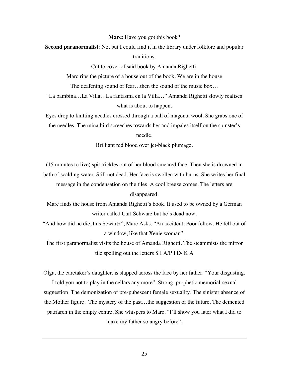**Marc**: Have you got this book?

**Second paranormalist**: No, but I could find it in the library under folklore and popular traditions.

Cut to cover of said book by Amanda Righetti.

Marc rips the picture of a house out of the book. We are in the house The deafening sound of fear…then the sound of the music box…

"La bambina…La Villa…La fantasma en la Villa…" Amanda Righetti slowly realises what is about to happen.

Eyes drop to knitting needles crossed through a ball of magenta wool. She grabs one of the needles. The mina bird screeches towards her and impales itself on the spinster's needle.

Brilliant red blood over jet-black plumage.

(15 minutes to live) spit trickles out of her blood smeared face. Then she is drowned in bath of scalding water. Still not dead. Her face is swollen with burns. She writes her final message in the condensation on the tiles. A cool breeze comes. The letters are disappeared.

Marc finds the house from Amanda Righetti's book. It used to be owned by a German writer called Carl Schwarz but he's dead now.

"And how did he die, this Scwartz", Marc Asks. "An accident. Poor fellow. He fell out of a window, like that Xenie woman".

The first paranormalist visits the house of Amanda Righetti. The steammists the mirror tile spelling out the letters S I A/P I D/ K A

Olga, the caretaker's daughter, is slapped across the face by her father. "Your disgusting.

I told you not to play in the cellars any more". Strong prophetic memorial-sexual suggestion. The demonization of pre-pubescent female sexuality. The sinister absence of the Mother figure. The mystery of the past…the suggestion of the future. The demented patriarch in the empty centre. She whispers to Marc. "I'll show you later what I did to make my father so angry before".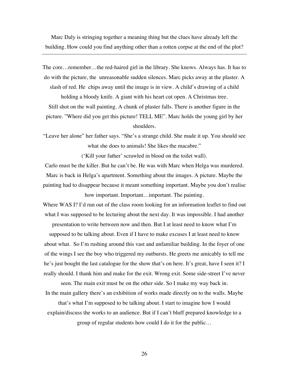Marc Daly is stringing together a meaning thing but the clues have already left the building. How could you find anything other than a rotten corpse at the end of the plot?

The core…remember…the red-haired girl in the library. She knows. Always has. It has to do with the picture, the unreasonable sudden silences. Marc picks away at the plaster. A slash of red. He chips away until the image is in view. A child's drawing of a child holding a bloody knife. A giant with his heart cut open. A Christmas tree. Still shot on the wall painting. A chunk of plaster falls. There is another figure in the picture. "Where did you get this picture! TELL ME". Marc holds the young girl by her shoulders.

"Leave her alone" her father says. "She's a strange child. She made it up. You should see what she does to animals! She likes the macabre."

('Kill your father' scrawled in blood on the toilet wall).

Carlo must be the killer. But he can't be. He was with Marc when Helga was murdered. Marc is back in Helga's apartment. Something about the images. A picture. Maybe the painting had to disappear because it meant something important. Maybe you don't realise how important. Important...important. The painting.

Where WAS I? I'd run out of the class room looking for an information leaflet to find out what I was supposed to be lecturing about the next day. It was impossible. I had another

presentation to write between now and then. But I at least need to know what I'm supposed to be talking about. Even if I have to make excuses I at least need to know about what. So I'm rushing around this vast and unfamiliar building. In the foyer of one of the wings I see the boy who triggered my outbursts. He greets me amicably to tell me he's just bought the last catalogue for the show that's on here. It's great, have I seen it? I really should. I thank him and make for the exit. Wrong exit. Some side-street I've never

seen. The main exit must be on the other side. So I make my way back in. In the main gallery there's an exhibition of works made directly on to the walls. Maybe

that's what I'm supposed to be talking about. I start to imagine how I would explain/discuss the works to an audience. But if I can't bluff prepared knowledge to a group of regular students how could I do it for the public…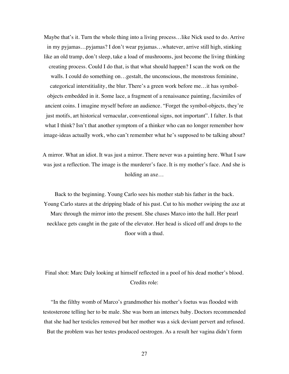Maybe that's it. Turn the whole thing into a living process…like Nick used to do. Arrive in my pyjamas…pyjamas? I don't wear pyjamas…whatever, arrive still high, stinking like an old tramp, don't sleep, take a load of mushrooms, just become the living thinking creating process. Could I do that, is that what should happen? I scan the work on the walls. I could do something on…gestalt, the unconscious, the monstrous feminine, categorical interstitiality, the blur. There's a green work before me…it has symbolobjects embedded in it. Some lace, a fragment of a renaissance painting, facsimiles of ancient coins. I imagine myself before an audience. "Forget the symbol-objects, they're just motifs, art historical vernacular, conventional signs, not important". I falter. Is that what I think? Isn't that another symptom of a thinker who can no longer remember how image-ideas actually work, who can't remember what he's supposed to be talking about?

A mirror. What an idiot. It was just a mirror. There never was a painting here. What I saw was just a reflection. The image is the murderer's face. It is my mother's face. And she is holding an axe…

Back to the beginning. Young Carlo sees his mother stab his father in the back. Young Carlo stares at the dripping blade of his past. Cut to his mother swiping the axe at Marc through the mirror into the present. She chases Marco into the hall. Her pearl necklace gets caught in the gate of the elevator. Her head is sliced off and drops to the floor with a thud.

Final shot: Marc Daly looking at himself reflected in a pool of his dead mother's blood. Credits role:

"In the filthy womb of Marco's grandmother his mother's foetus was flooded with testosterone telling her to be male. She was born an intersex baby. Doctors recommended that she had her testicles removed but her mother was a sick deviant pervert and refused.

But the problem was her testes produced oestrogen. As a result her vagina didn't form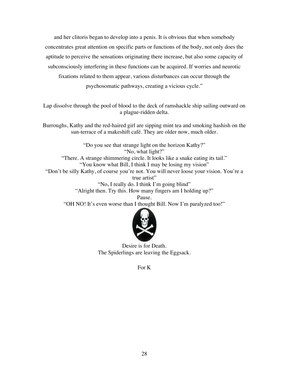and her clitoris began to develop into a penis. It is obvious that when somebody concentrates great attention on specific parts or functions of the body, not only does the aptitude to perceive the sensations originating there increase, but also some capacity of subconsciously interfering in these functions can be acquired. If worries and neurotic fixations related to them appear, various disturbances can occur through the psychosomatic pathways, creating a vicious cycle."

Lap dissolve through the pool of blood to the deck of ramshackle ship sailing outward on a plague-ridden delta.

Burroughs, Kathy and the red-haired girl are sipping mint tea and smoking hashish on the sun-terrace of a makeshift café. They are older now, much older.

"Do you see that strange light on the horizon Kathy?" "No, what light?" "There. A strange shimmering circle. It looks like a snake eating its tail." "You know what Bill, I think I may be losing my vision" "Don't be silly Kathy, of course you're not. You will never loose your vision. You're a true artist" "No, I really do. I think I'm going blind" "Alright then. Try this. How many fingers am I holding up?" Pause. "OH NO! It's even worse than I thought Bill. Now I'm paralyzed too!"



Desire is for Death. The Spiderlings are leaving the Eggsack.

For K